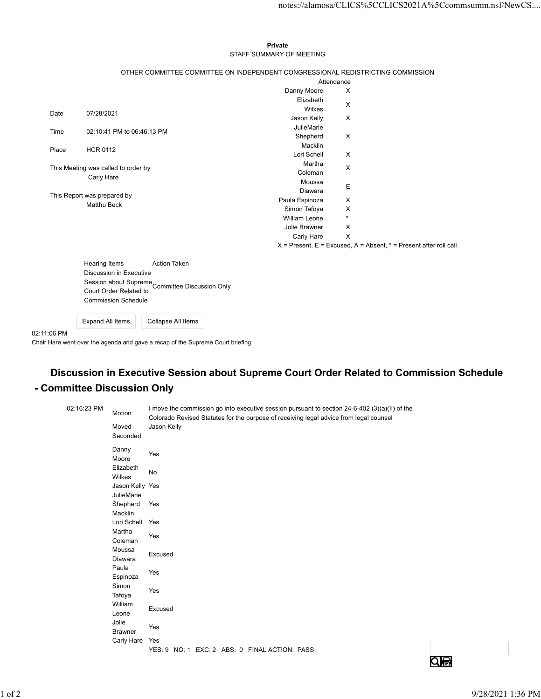## Private STAFF SUMMARY OF MEETING

|                                    |                                                   |                                     |                                                                                                       |                             |                           | notes://alamosa/CLICS%5CCLICS2021A%5Ccommsumm.nsf/NewCS                                  |
|------------------------------------|---------------------------------------------------|-------------------------------------|-------------------------------------------------------------------------------------------------------|-----------------------------|---------------------------|------------------------------------------------------------------------------------------|
|                                    |                                                   |                                     |                                                                                                       |                             |                           |                                                                                          |
|                                    |                                                   |                                     |                                                                                                       | Private                     |                           |                                                                                          |
|                                    |                                                   |                                     |                                                                                                       | STAFF SUMMARY OF MEETING    |                           |                                                                                          |
|                                    |                                                   |                                     |                                                                                                       |                             |                           |                                                                                          |
|                                    |                                                   |                                     | OTHER COMMITTEE COMMITTEE ON INDEPENDENT CONGRESSIONAL REDISTRICTING COMMISSION                       | Attendance                  |                           |                                                                                          |
|                                    |                                                   |                                     |                                                                                                       | Danny Moore                 | X                         |                                                                                          |
|                                    |                                                   |                                     |                                                                                                       | Elizabeth                   |                           |                                                                                          |
| Date                               | 07/28/2021                                        |                                     |                                                                                                       | Wilkes                      | X                         |                                                                                          |
|                                    |                                                   |                                     |                                                                                                       | Jason Kelly                 | X                         |                                                                                          |
| 02:10:41 PM to 06:46:13 PM<br>Time |                                                   |                                     |                                                                                                       | JulieMarie<br>Shepherd      | X                         |                                                                                          |
|                                    |                                                   |                                     |                                                                                                       | Macklin                     |                           |                                                                                          |
| Place                              | <b>HCR 0112</b>                                   |                                     |                                                                                                       | Lori Schell                 | $\boldsymbol{\mathsf{X}}$ |                                                                                          |
|                                    |                                                   | This Meeting was called to order by |                                                                                                       | Martha                      | X                         |                                                                                          |
|                                    | Carly Hare                                        |                                     |                                                                                                       | Coleman<br>Moussa           |                           |                                                                                          |
|                                    |                                                   |                                     |                                                                                                       | Diawara                     | Ε                         |                                                                                          |
|                                    | This Report was prepared by<br><b>Matthu Beck</b> |                                     |                                                                                                       | Paula Espinoza              | X                         |                                                                                          |
|                                    |                                                   |                                     |                                                                                                       | Simon Tafoya                | X                         |                                                                                          |
|                                    |                                                   |                                     |                                                                                                       | William Leone               | $\star$                   |                                                                                          |
|                                    |                                                   |                                     |                                                                                                       | Jolie Brawner<br>Carly Hare | X<br>$\mathsf{X}$         |                                                                                          |
|                                    |                                                   |                                     |                                                                                                       |                             |                           | $X =$ Present, E = Excused, A = Absent, $* =$ Present after roll call                    |
|                                    |                                                   |                                     |                                                                                                       |                             |                           |                                                                                          |
|                                    | Hearing Items                                     |                                     | <b>Action Taken</b>                                                                                   |                             |                           |                                                                                          |
|                                    |                                                   | Discussion in Executive             |                                                                                                       |                             |                           |                                                                                          |
|                                    |                                                   |                                     | Session about Supreme<br>Committee Discussion Only                                                    |                             |                           |                                                                                          |
|                                    |                                                   | <b>Commission Schedule</b>          |                                                                                                       |                             |                           |                                                                                          |
|                                    |                                                   |                                     |                                                                                                       |                             |                           |                                                                                          |
|                                    | <b>Expand All Items</b>                           |                                     | Collapse All Items                                                                                    |                             |                           |                                                                                          |
| 11:06 PM                           |                                                   |                                     |                                                                                                       |                             |                           |                                                                                          |
|                                    |                                                   |                                     | iir Hare went over the agenda and gave a recap of the Supreme Court briefing.                         |                             |                           |                                                                                          |
|                                    |                                                   |                                     |                                                                                                       |                             |                           |                                                                                          |
|                                    |                                                   |                                     |                                                                                                       |                             |                           |                                                                                          |
|                                    |                                                   |                                     |                                                                                                       |                             |                           | Discussion in Executive Session about Supreme Court Order Related to Commission Schedule |
|                                    |                                                   | <b>Committee Discussion Only</b>    |                                                                                                       |                             |                           |                                                                                          |
|                                    |                                                   |                                     |                                                                                                       |                             |                           |                                                                                          |
|                                    | 02:16:23 PM                                       |                                     | I move the commission go into executive session pursuant to section 24-6-402 (3)(a)(II) of the        |                             |                           |                                                                                          |
|                                    |                                                   | Motion                              | Colorado Revised Statutes for the purpose of receiving legal advice from legal counsel<br>Jason Kelly |                             |                           |                                                                                          |
|                                    |                                                   | Moved<br>Seconded                   |                                                                                                       |                             |                           |                                                                                          |
|                                    |                                                   |                                     |                                                                                                       |                             |                           |                                                                                          |
|                                    |                                                   | Danny<br>Moore                      | Yes                                                                                                   |                             |                           |                                                                                          |
|                                    |                                                   | Elizabeth                           |                                                                                                       |                             |                           |                                                                                          |
|                                    |                                                   | Wilkes                              | No                                                                                                    |                             |                           |                                                                                          |
|                                    |                                                   |                                     |                                                                                                       |                             |                           |                                                                                          |

## Discussion in Executive Session about Supreme Court Order Related to Commission Schedule - Committee Discussion Only

|                             |                  | Discussion in Executive<br>Court Order Related to | Session about Supreme<br>Committee Discussion Only                              |                                               |                                                                                                                                                                                          |                                                                                          |                   |
|-----------------------------|------------------|---------------------------------------------------|---------------------------------------------------------------------------------|-----------------------------------------------|------------------------------------------------------------------------------------------------------------------------------------------------------------------------------------------|------------------------------------------------------------------------------------------|-------------------|
|                             |                  | <b>Commission Schedule</b>                        |                                                                                 |                                               |                                                                                                                                                                                          |                                                                                          |                   |
|                             | Expand All Items |                                                   | Collapse All Items                                                              |                                               |                                                                                                                                                                                          |                                                                                          |                   |
| 02:11:06 PM                 |                  |                                                   | Chair Hare went over the agenda and gave a recap of the Supreme Court briefing. |                                               |                                                                                                                                                                                          |                                                                                          |                   |
|                             |                  |                                                   |                                                                                 |                                               |                                                                                                                                                                                          | Discussion in Executive Session about Supreme Court Order Related to Commission Schedule |                   |
| - Committee Discussion Only |                  |                                                   |                                                                                 |                                               |                                                                                                                                                                                          |                                                                                          |                   |
|                             | 02:16:23 PM      | Motion                                            |                                                                                 |                                               | I move the commission go into executive session pursuant to section 24-6-402 (3)(a)(II) of the<br>Colorado Revised Statutes for the purpose of receiving legal advice from legal counsel |                                                                                          |                   |
|                             |                  | Moved<br>Seconded                                 | Jason Kelly                                                                     |                                               |                                                                                                                                                                                          |                                                                                          |                   |
|                             |                  | Danny<br>Moore                                    | Yes                                                                             |                                               |                                                                                                                                                                                          |                                                                                          |                   |
|                             |                  | Elizabeth<br>Wilkes                               | No                                                                              |                                               |                                                                                                                                                                                          |                                                                                          |                   |
|                             |                  | Jason Kelly Yes<br>JulieMarie                     |                                                                                 |                                               |                                                                                                                                                                                          |                                                                                          |                   |
|                             |                  | Shepherd Yes<br>Macklin                           |                                                                                 |                                               |                                                                                                                                                                                          |                                                                                          |                   |
|                             |                  | Lori Schell<br>Martha                             | Yes                                                                             |                                               |                                                                                                                                                                                          |                                                                                          |                   |
|                             |                  | Coleman                                           | Yes                                                                             |                                               |                                                                                                                                                                                          |                                                                                          |                   |
|                             |                  | Moussa<br>Diawara                                 | Excused                                                                         |                                               |                                                                                                                                                                                          |                                                                                          |                   |
|                             |                  | Paula<br>Espinoza                                 | Yes                                                                             |                                               |                                                                                                                                                                                          |                                                                                          |                   |
|                             |                  | Simon<br>Tafoya                                   | Yes                                                                             |                                               |                                                                                                                                                                                          |                                                                                          |                   |
|                             |                  | William<br>Leone                                  | Excused                                                                         |                                               |                                                                                                                                                                                          |                                                                                          |                   |
|                             |                  | Jolie<br>Brawner                                  | Yes                                                                             |                                               |                                                                                                                                                                                          |                                                                                          |                   |
|                             |                  | Carly Hare Yes                                    |                                                                                 | YES: 9 NO: 1 EXC: 2 ABS: 0 FINAL ACTION: PASS |                                                                                                                                                                                          |                                                                                          |                   |
|                             |                  |                                                   |                                                                                 |                                               |                                                                                                                                                                                          | $Q_{\bigoplus}$                                                                          |                   |
|                             |                  |                                                   |                                                                                 |                                               |                                                                                                                                                                                          |                                                                                          |                   |
|                             |                  |                                                   |                                                                                 |                                               |                                                                                                                                                                                          |                                                                                          | 9/28/2021 1:36 PM |